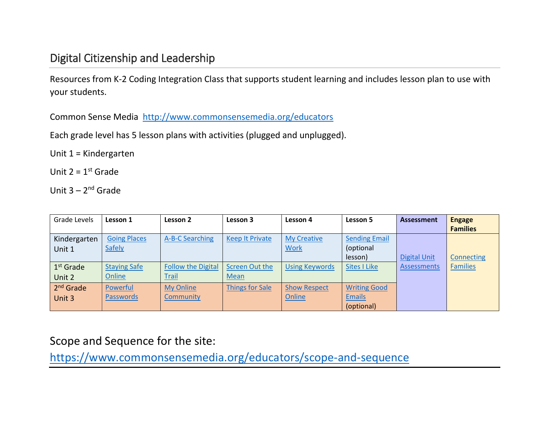## Digital Citizenship and Leadership

Resources from K-2 Coding Integration Class that supports student learning and includes lesson plan to use with your students.

Common Sense Media <http://www.commonsensemedia.org/educators>

Each grade level has 5 lesson plans with activities (plugged and unplugged).

Unit 1 = Kindergarten

Unit  $2 = 1$ <sup>st</sup> Grade

Unit 3 – 2<sup>nd</sup> Grade

| Grade Levels          | Lesson 1            | Lesson 2                  | Lesson 3               | Lesson 4              | Lesson 5             | <b>Assessment</b>   | <b>Engage</b>   |
|-----------------------|---------------------|---------------------------|------------------------|-----------------------|----------------------|---------------------|-----------------|
|                       |                     |                           |                        |                       |                      |                     | <b>Families</b> |
| Kindergarten          | <b>Going Places</b> | A-B-C Searching           | <b>Keep It Private</b> | <b>My Creative</b>    | <b>Sending Email</b> |                     |                 |
| Unit 1                | Safely              |                           |                        | <b>Work</b>           | (optional            |                     |                 |
|                       |                     |                           |                        |                       | lesson)              | <b>Digital Unit</b> | Connecting      |
| 1 <sup>st</sup> Grade | <b>Staying Safe</b> | <b>Follow the Digital</b> | <b>Screen Out the</b>  | <b>Using Keywords</b> | <b>Sites I Like</b>  | <b>Assessments</b>  | <b>Families</b> |
| Unit 2                | Online              | <b>Trail</b>              | Mean                   |                       |                      |                     |                 |
| 2 <sup>nd</sup> Grade | Powerful            | <b>My Online</b>          | <b>Things for Sale</b> | <b>Show Respect</b>   | <b>Writing Good</b>  |                     |                 |
| Unit 3                | <b>Passwords</b>    | Community                 |                        | Online                | <b>Emails</b>        |                     |                 |
|                       |                     |                           |                        |                       | (optional)           |                     |                 |

Scope and Sequence for the site:

<https://www.commonsensemedia.org/educators/scope-and-sequence>